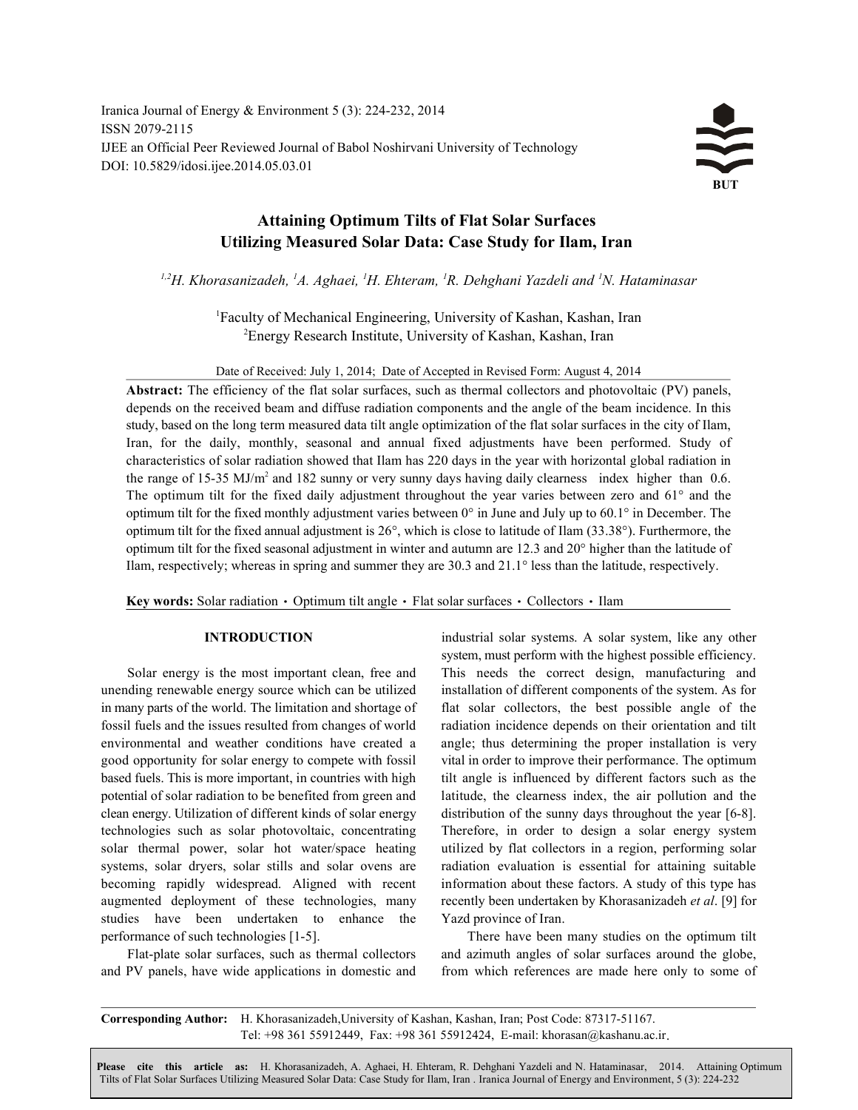Iranica Journal of Energy & Environment 5 (3): 224-232, 2014 ISSN 2079-2115 IJEE an Official Peer Reviewed Journal of Babol Noshirvani University of Technology DOI: 10.5829/idosi.ijee.2014.05.03.01



# **Attaining Optimum Tilts of Flat Solar Surfaces Utilizing Measured Solar Data: Case Study for Ilam, Iran**

*1,2H. Khorasanizadeh, 1 A. Aghaei, 1 H. Ehteram, 1 R. Dehghani Yazdeli and 1 N. Hataminasar*

Faculty of Mechanical Engineering, University of Kashan, Kashan, Iran <sup>1</sup> Energy Research Institute, University of Kashan, Kashan, Iran <sup>2</sup>

Date of Received: July 1, 2014; Date of Accepted in Revised Form: August 4, 2014

**Abstract:** The efficiency of the flat solar surfaces, such as thermal collectors and photovoltaic (PV) panels, depends on the received beam and diffuse radiation components and the angle of the beam incidence. In this study, based on the long term measured data tilt angle optimization of the flat solar surfaces in the city of Ilam, Iran, for the daily, monthly, seasonal and annual fixed adjustments have been performed. Study of characteristics of solar radiation showed that Ilam has 220 days in the year with horizontal global radiation in the range of 15-35  $MJ/m<sup>2</sup>$  and 182 sunny or very sunny days having daily clearness index higher than 0.6. The optimum tilt for the fixed daily adjustment throughout the year varies between zero and 61° and the optimum tilt for the fixed monthly adjustment varies between  $0^{\circ}$  in June and July up to 60.1 $^{\circ}$  in December. The optimum tilt for the fixed annual adjustment is 26°, which is close to latitude of Ilam (33.38°). Furthermore, the optimum tilt for the fixed seasonal adjustment in winter and autumn are 12.3 and 20° higher than the latitude of Ilam, respectively; whereas in spring and summer they are 30.3 and 21.1° less than the latitude, respectively.

Key words: Solar radiation · Optimum tilt angle · Flat solar surfaces · Collectors · Ilam

unending renewable energy source which can be utilized installation of different components of the system. As for in many parts of the world. The limitation and shortage of flat solar collectors, the best possible angle of the fossil fuels and the issues resulted from changes of world radiation incidence depends on their orientation and tilt environmental and weather conditions have created a angle; thus determining the proper installation is very good opportunity for solar energy to compete with fossil vital in order to improve their performance. The optimum based fuels. This is more important, in countries with high tilt angle is influenced by different factors such as the potential of solar radiation to be benefited from green and latitude, the clearness index, the air pollution and the clean energy. Utilization of different kinds of solar energy distribution of the sunny days throughout the year [6-8]. technologies such as solar photovoltaic, concentrating Therefore, in order to design a solar energy system solar thermal power, solar hot water/space heating utilized by flat collectors in a region, performing solar systems, solar dryers, solar stills and solar ovens are radiation evaluation is essential for attaining suitable becoming rapidly widespread. Aligned with recent information about these factors. A study of this type has augmented deployment of these technologies, many recently been undertaken by Khorasanizadeh *et al*. [9] for studies have been undertaken to enhance the Yazd province of Iran. performance of such technologies [1-5]. There have been many studies on the optimum tilt

and PV panels, have wide applications in domestic and from which references are made here only to some of

**INTRODUCTION** industrial solar systems. A solar system, like any other Solar energy is the most important clean, free and This needs the correct design, manufacturing and system, must perform with the highest possible efficiency.

Flat-plate solar surfaces, such as thermal collectors and azimuth angles of solar surfaces around the globe,

**Corresponding Author:** H. Khorasanizadeh,University of Kashan, Kashan, Iran; Post Code: 87317-51167. Tel: +98 361 55912449, Fax: +98 361 55912424, E-mail: khorasan@kashanu.ac.ir.

 Tilts of Flat Solar Surfaces Utilizing Measured Solar Data: Case Study for Ilam, Iran . Iranica Journal of Energy and Environment, 5 (3): 224-232**Please cite this article as:** H. Khorasanizadeh, A. Aghaei, H. Ehteram, R. Dehghani Yazdeli and N. Hataminasar, 2014. Attaining Optimum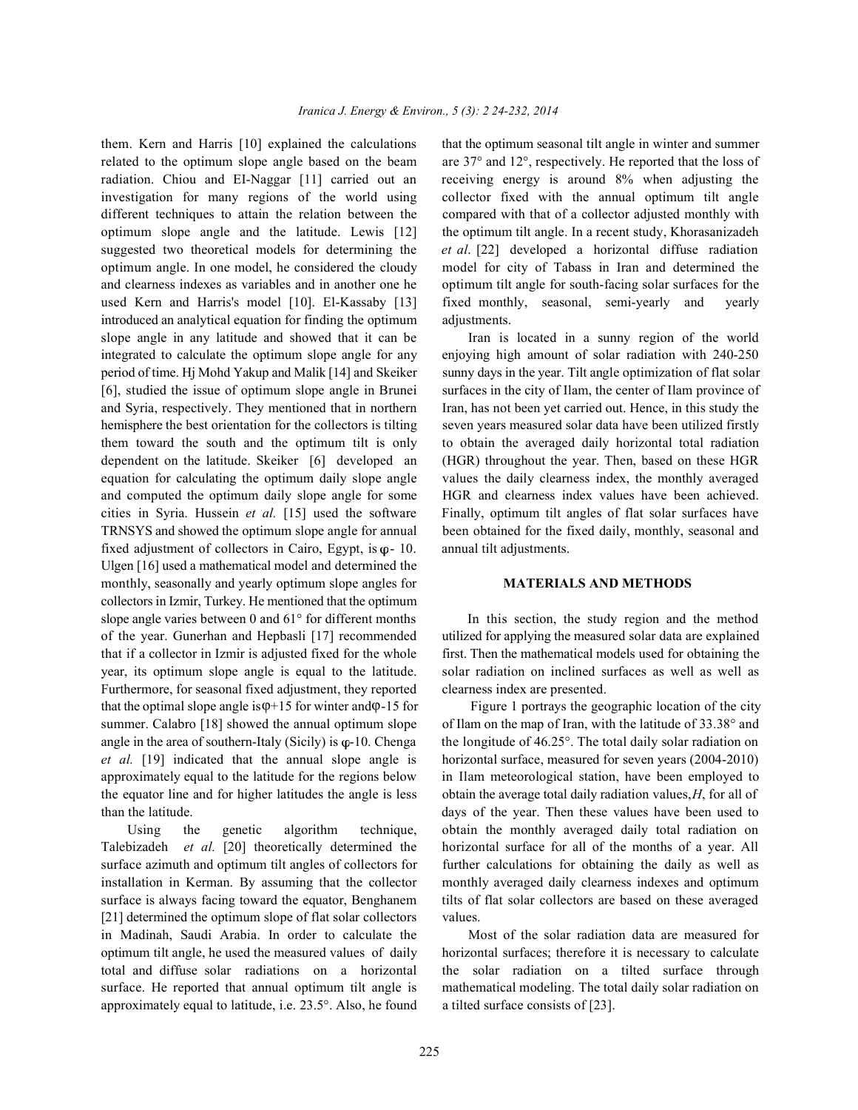suggested two theoretical models for determining the *et al*. [22] developed a horizontal diffuse radiation introduced an analytical equation for finding the optimum adjustments. slope angle in any latitude and showed that it can be Iran is located in a sunny region of the world integrated to calculate the optimum slope angle for any enjoying high amount of solar radiation with 240-250 period of time. Hj Mohd Yakup and Malik [14] and Skeiker sunny days in the year. Tilt angle optimization of flat solar [6], studied the issue of optimum slope angle in Brunei surfaces in the city of Ilam, the center of Ilam province of and Syria, respectively. They mentioned that in northern Iran, has not been yet carried out. Hence, in this study the hemisphere the best orientation for the collectors is tilting seven years measured solar data have been utilized firstly them toward the south and the optimum tilt is only to obtain the averaged daily horizontal total radiation dependent on the latitude. Skeiker [6] developed an (HGR) throughout the year. Then, based on these HGR equation for calculating the optimum daily slope angle values the daily clearness index, the monthly averaged and computed the optimum daily slope angle for some HGR and clearness index values have been achieved. cities in Syria. Hussein *et al.* [15] used the software Finally, optimum tilt angles of flat solar surfaces have TRNSYS and showed the optimum slope angle for annual been obtained for the fixed daily, monthly, seasonal and fixed adjustment of collectors in Cairo, Egypt, is  $\varphi$ -10. annual tilt adjustments. Ulgen [16] used a mathematical model and determined the monthly, seasonally and yearly optimum slope angles for **MATERIALS AND METHODS**  collectors in Izmir, Turkey. He mentioned that the optimum of the year. Gunerhan and Hepbasli [17] recommended utilized for applying the measured solar data are explained that if a collector in Izmir is adjusted fixed for the whole first. Then the mathematical models used for obtaining the year, its optimum slope angle is equal to the latitude. solar radiation on inclined surfaces as well as well as Furthermore, for seasonal fixed adjustment, they reported clearness index are presented. angle in the area of southern-Italy (Sicily) is  $\varphi$ -10. Chenga the longitude of 46.25°. The total daily solar radiation on *et al.* [19] indicated that the annual slope angle is horizontal surface, measured for seven years (2004-2010) approximately equal to the latitude for the regions below in Ilam meteorological station, have been employed to the equator line and for higher latitudes the angle is less obtain the average total daily radiation values, *H*, for all of than the latitude. days of the year. Then these values have been used to summer. Calabro [18] showed the annual optimum slope of Ilam on the map of Iran, with the latitude of 33.38° and slope angle varies between 0 and 61° for different months In this section, the study region and the method that the optimal slope angle is  $\varphi$ +15 for winter and  $\varphi$ -15 for Figure 1 portrays the geographic location of the city

[21] determined the optimum slope of flat solar collectors values. in Madinah, Saudi Arabia. In order to calculate the Most of the solar radiation data are measured for approximately equal to latitude, i.e. 23.5°. Also, he found a tilted surface consists of [23].

them. Kern and Harris [10] explained the calculations that the optimum seasonal tilt angle in winter and summer related to the optimum slope angle based on the beam are 37° and 12°, respectively. He reported that the loss of radiation. Chiou and EI-Naggar [11] carried out an receiving energy is around 8% when adjusting the investigation for many regions of the world using collector fixed with the annual optimum tilt angle different techniques to attain the relation between the compared with that of a collector adjusted monthly with optimum slope angle and the latitude. Lewis [12] the optimum tilt angle. In a recent study, Khorasanizadeh optimum angle. In one model, he considered the cloudy model for city of Tabass in Iran and determined the and clearness indexes as variables and in another one he optimum tilt angle for south-facing solar surfaces for the used Kern and Harris's model [10]. El-Kassaby [13] fixed monthly, seasonal, semi-yearly and yearly

Using the genetic algorithm technique, obtain the monthly averaged daily total radiation on Talebizadeh *et al.* [20] theoretically determined the horizontal surface for all of the months of a year. All surface azimuth and optimum tilt angles of collectors for further calculations for obtaining the daily as well as installation in Kerman. By assuming that the collector monthly averaged daily clearness indexes and optimum surface is always facing toward the equator, Benghanem tilts of flat solar collectors are based on these averaged

optimum tilt angle, he used the measured values of daily horizontal surfaces; therefore it is necessary to calculate total and diffuse solar radiations on a horizontal the solar radiation on a tilted surface through surface. He reported that annual optimum tilt angle is mathematical modeling. The total daily solar radiation on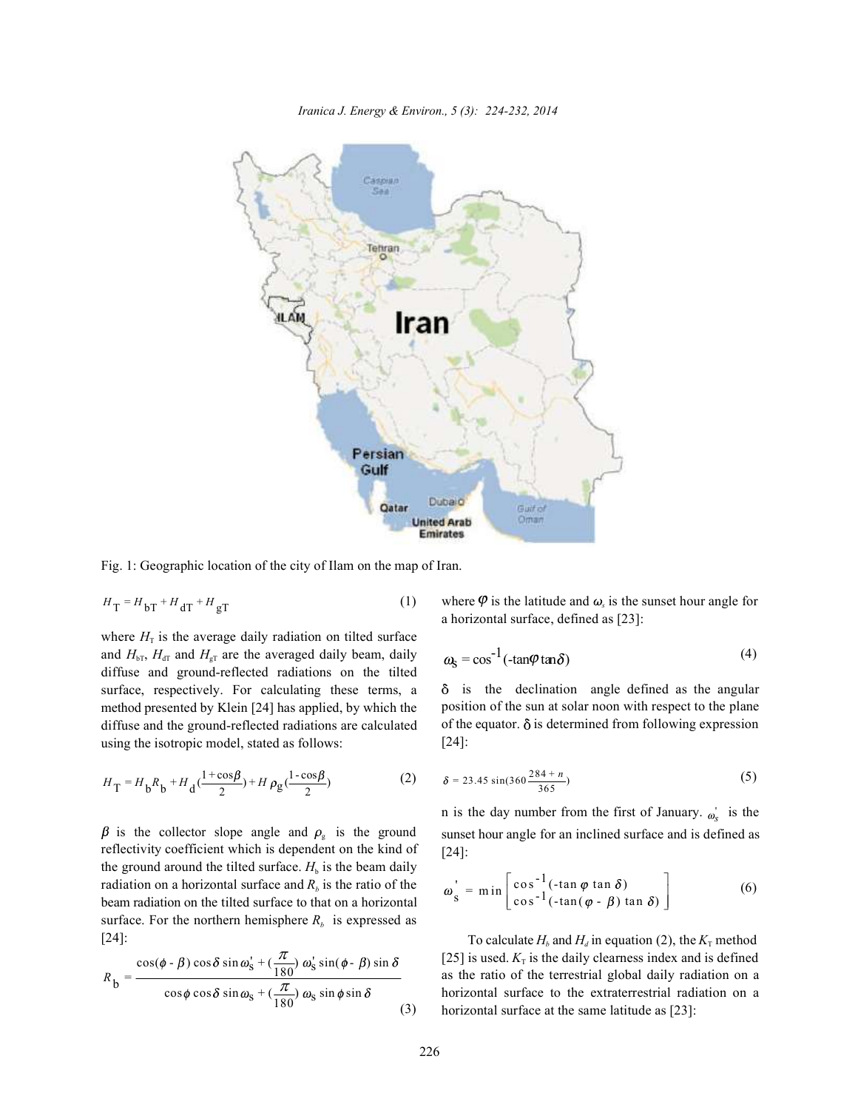*Iranica J. Energy & Environ., 5 (3): 224-232, 2014*



Fig. 1: Geographic location of the city of Ilam on the map of Iran.

$$
H_{\rm T} = H_{\rm bT} + H_{\rm dT} + H_{\rm gT} \tag{1}
$$

where  $H<sub>T</sub>$  is the average daily radiation on tilted surface and  $H_{bT}$ ,  $H_{dT}$  and  $H_{gT}$  are the averaged daily beam, daily diffuse and ground-reflected radiations on the tilted surface, respectively. For calculating these terms, a method presented by Klein [24] has applied, by which the diffuse and the ground-reflected radiations are calculated using the isotropic model, stated as follows:

$$
H_{\rm T} = H_{\rm b} R_{\rm b} + H_{\rm d} \left( \frac{1 + \cos \beta}{2} \right) + H \rho_{\rm g} \left( \frac{1 - \cos \beta}{2} \right) \tag{2}
$$

 $\beta$  is the collector slope angle and  $\rho_{\rm g}$  is the ground reflectivity coefficient which is dependent on the kind of the ground around the tilted surface.  $H<sub>b</sub>$  is the beam daily radiation on a horizontal surface and  $R<sub>b</sub>$  is the ratio of the beam radiation on the tilted surface to that on a horizontal surface. For the northern hemisphere  $R<sub>b</sub>$  is expressed as [24]:

$$
R_{\rm b} = \frac{\cos(\phi - \beta)\cos\delta\sin\omega_{\rm s}^{\prime} + (\frac{\pi}{180})\omega_{\rm s}^{\prime}\sin(\phi - \beta)\sin\delta}{\cos\phi\cos\delta\sin\omega_{\rm s} + (\frac{\pi}{180})\omega_{\rm s}\sin\phi\sin\delta}
$$
(3)

(1) where  $\varphi$  is the latitude and  $\omega$ <sub>s</sub> is the sunset hour angle for a horizontal surface, defined as [23]:

$$
\omega_{\rm S} = \cos^{-1}(-\tan\varphi\tan\delta) \tag{4}
$$

 $\delta$  is the declination angle defined as the angular position of the sun at solar noon with respect to the plane of the equator.  $\delta$  is determined from following expression [24]:

$$
\delta = 23.45 \sin(360 \frac{284 + n}{365})
$$
 (5)

In is the day number from the first of January.  $\omega_s$  is the sunset hour angle for an inclined surface and is defined as [24]:

$$
\omega'_{\rm s} = \min \left[ \cos^{-1} (\tan \varphi \tan \delta) \atop \cos^{-1} (\tan (\varphi - \beta) \tan \delta) \right] \tag{6}
$$

To calculate  $H_b$  and  $H_d$  in equation (2), the  $K_T$  method [25] is used.  $K<sub>T</sub>$  is the daily clearness index and is defined as the ratio of the terrestrial global daily radiation on a horizontal surface to the extraterrestrial radiation on a horizontal surface at the same latitude as [23]: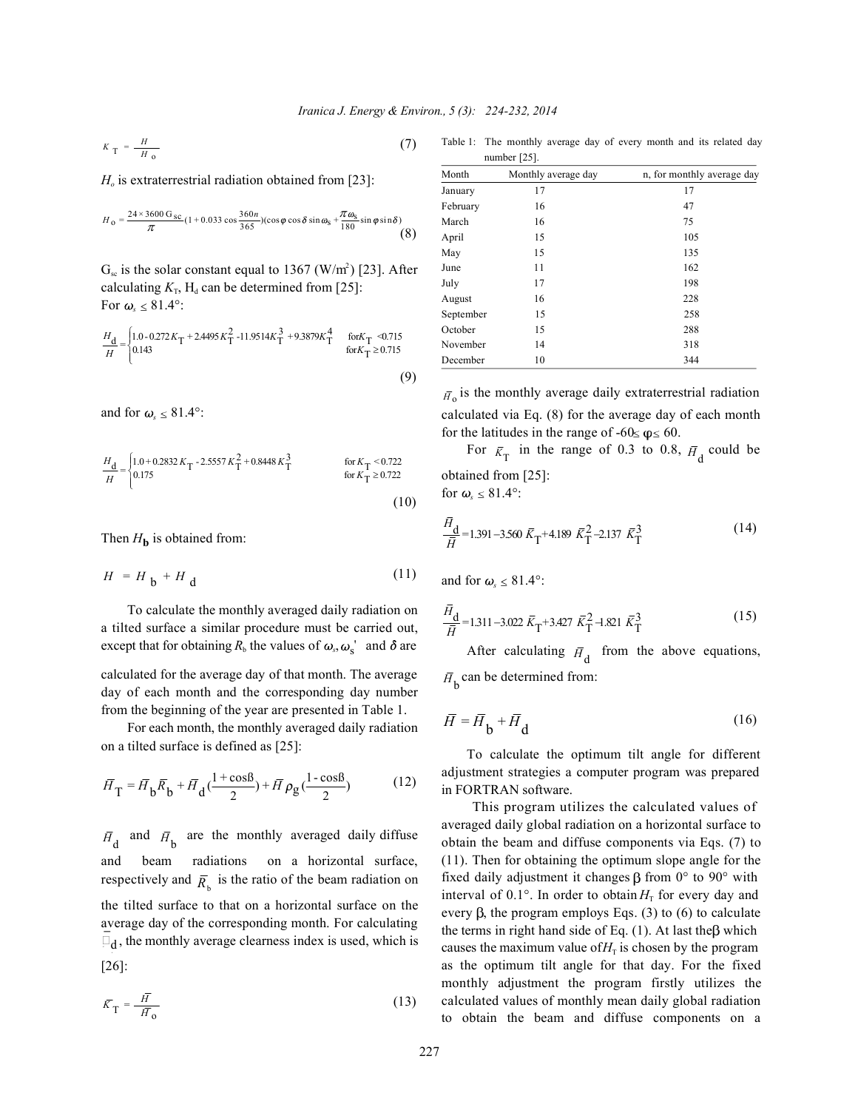$$
K_{\mathrm{T}} = \frac{H}{H_{\mathrm{o}}} \tag{7}
$$

 $H<sub>o</sub>$  is extraterrestrial radiation obtained from [23]:

$$
H_0 = \frac{24 \times 3600 \,\text{G}_{\text{SC}}}{\pi} (1 + 0.033 \cos \frac{360n}{365}) (\cos \varphi \cos \delta \sin \omega_s + \frac{\pi \omega_s}{180} \sin \varphi \sin \delta) \tag{8}
$$

 $G_{\rm sc}$  is the solar constant equal to 1367 (W/m<sup>2</sup>) [23]. After calculating  $K_{\text{T}}$ , H<sub>d</sub> can be determined from [25]: For  $\omega_{\rm s} \leq 81.4^{\circ}$ :

$$
\frac{H_{\rm d}}{H} = \begin{cases} 1.0 - 0.272K_{\rm T} + 2.4495K_{\rm T}^2 - 11.9514K_{\rm T}^3 + 9.3879K_{\rm T}^4 & \text{for } K_{\rm T} < 0.715\\ 0.143 & \text{for } K_{\rm T} \ge 0.715 \end{cases}
$$
(9)

and for  $\omega$ <sub>s</sub>  $\leq$  81.4°:

$$
\frac{H_{\rm d}}{H} = \begin{cases} 1.0 + 0.2832 K_{\rm T} - 2.5557 K_{\rm T}^2 + 0.8448 K_{\rm T}^3 & \text{for } K_{\rm T} < 0.722\\ 0.175 & \text{for } K_{\rm T} \ge 0.722 \end{cases}
$$
\n
$$
\tag{10}
$$

Then  $H<sub>b</sub>$  is obtained from:

$$
H = H_{b} + H_{d} \tag{11}
$$

except that for obtaining  $R<sub>b</sub>$  the values of  $\omega_s$ ,  $\omega_s'$  and  $\delta$  are To calculate the monthly averaged daily radiation on a tilted surface a similar procedure must be carried out,

day of each month and the corresponding day number from the beginning of the year are presented in Table 1. calculated for the average day of that month. The average

For each month, the monthly averaged daily radiation on a tilted surface is defined as [25]:

$$
\overline{H}_{\mathrm{T}} = \overline{H}_{\mathrm{b}} \overline{R}_{\mathrm{b}} + \overline{H}_{\mathrm{d}} \left( \frac{1 + \cos \beta}{2} \right) + \overline{H} \rho_{\mathrm{g}} \left( \frac{1 - \cos \beta}{2} \right) \tag{12}
$$

 $\overline{H}_{d}$  and  $\overline{H}_{b}$  are the monthly averaged daily diffuse respectively and  $\overline{R}_{b}$  is the ratio of the beam radiation on *H* , the monthly average clearness index is used, which is *H*d and beam radiations on a horizontal surface, the tilted surface to that on a horizontal surface on the average day of the corresponding month. For calculating [26]:

$$
\bar{K}_{\rm T} = \frac{\bar{H}}{\bar{H}_0} \tag{13}
$$

Table 1: The monthly average day of every month and its related day number [25].

| Month     | Monthly average day | n, for monthly average day |  |  |
|-----------|---------------------|----------------------------|--|--|
| January   | 17                  | 17                         |  |  |
| February  | 16                  | 47                         |  |  |
| March     | 16                  | 75                         |  |  |
| April     | 15                  | 105                        |  |  |
| May       | 15                  | 135                        |  |  |
| June      | 11                  | 162                        |  |  |
| July      | 17                  | 198                        |  |  |
| August    | 16                  | 228                        |  |  |
| September | 15                  | 258                        |  |  |
| October   | 15                  | 288                        |  |  |
| November  | 14                  | 318                        |  |  |
| December  | 10                  | 344                        |  |  |

 $\bar{H}_0$  is the monthly average daily extraterrestrial radiation calculated via Eq. (8) for the average day of each month for the latitudes in the range of -60 $\leq \varphi \leq 60$ .

For  $\bar{K}_{\text{T}}$  in the range of 0.3 to 0.8,  $\bar{H}_{d}$  could be obtained from [25]:

for  $\omega_s \leq 81.4^\circ$ :

$$
\frac{\bar{H}_{\rm d}}{\bar{H}} = 1.391 - 3.560 \,\bar{K}_{\rm T} + 4.189 \,\bar{K}_{\rm T}^2 - 2.137 \,\bar{K}_{\rm T}^3 \tag{14}
$$

and for  $\omega_{\rm s} \leq 81.4^{\circ}$ :

$$
\frac{\bar{H}_{\rm d}}{\bar{H}} = 1.311 - 3.022 \,\bar{K}_{\rm T} + 3.427 \,\bar{K}_{\rm T}^2 - 1.821 \,\bar{K}_{\rm T}^3 \tag{15}
$$

After calculating  $\bar{H}_{d}$  from the above equations,  $\overline{H}_{\text{b}}$  can be determined from:

$$
\overline{H} = \overline{H}_{\text{b}} + \overline{H}_{\text{d}} \tag{16}
$$

To calculate the optimum tilt angle for different adjustment strategies a computer program was prepared in FORTRAN software.

averaged daily global radiation on a horizontal surface to obtain the beam and diffuse components via Eqs. (7) to (11). Then for obtaining the optimum slope angle for the fixed daily adjustment it changes  $\beta$  from 0° to 90° with interval of 0.1°. In order to obtain  $H<sub>T</sub>$  for every day and every  $\beta$ , the program employs Eqs. (3) to (6) to calculate the terms in right hand side of Eq. (1). At last the  $\beta$  which causes the maximum value of  $H<sub>T</sub>$  is chosen by the program as the optimum tilt angle for that day. For the fixed monthly adjustment the program firstly utilizes the calculated values of monthly mean daily global radiation to obtain the beam and diffuse components on a This program utilizes the calculated values of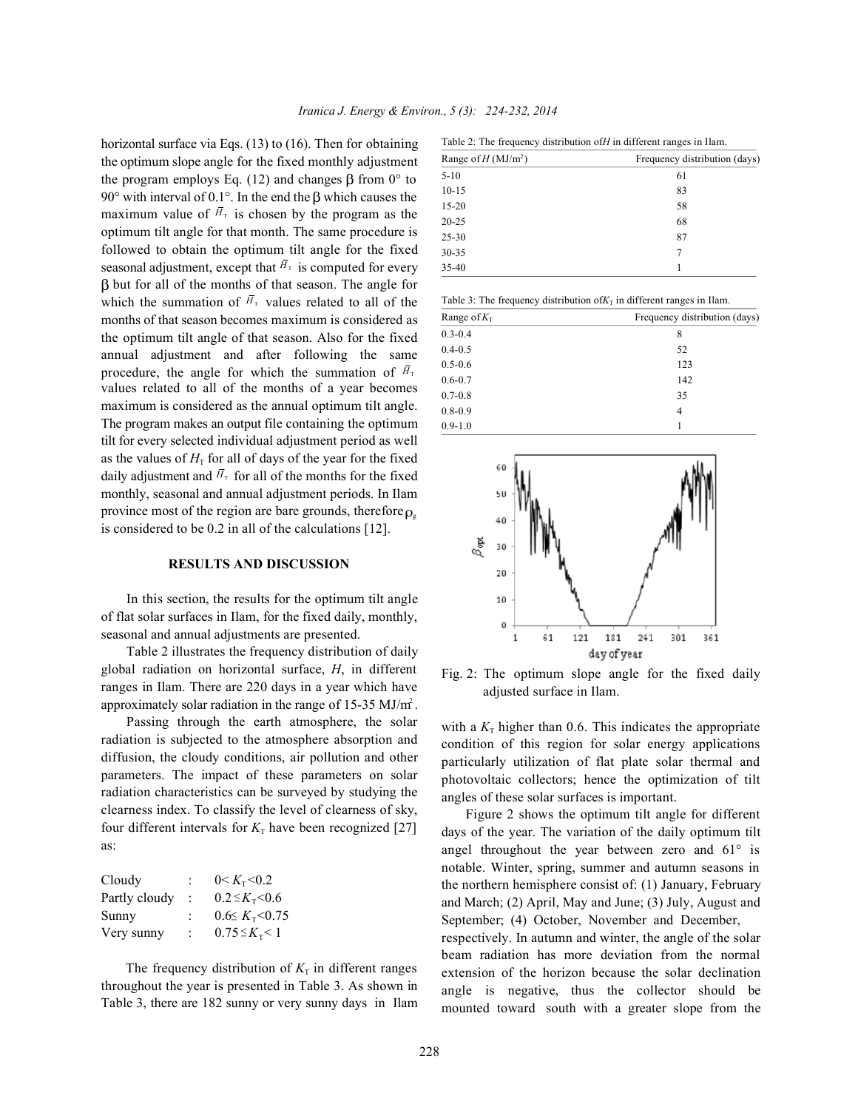maximum value of  $H<sub>T</sub>$  is chosen by the program as the seasonal adjustment, except that  $H_{\tau}$  is computed for every which the summation of  $H<sub>T</sub>$  values related to all of the procedure, the angle for which the summation of  $H_{\text{T}}$ daily adjustment and  $H<sub>T</sub>$  for all of the months for the fixed horizontal surface via Eqs. (13) to (16). Then for obtaining the optimum slope angle for the fixed monthly adjustment the program employs Eq. (12) and changes  $\beta$  from 0° to 90° with interval of 0.1°. In the end the  $\beta$  which causes the optimum tilt angle for that month. The same procedure is followed to obtain the optimum tilt angle for the fixed  $\beta$  but for all of the months of that season. The angle for months of that season becomes maximum is considered as the optimum tilt angle of that season. Also for the fixed annual adjustment and after following the same values related to all of the months of a year becomes maximum is considered as the annual optimum tilt angle. The program makes an output file containing the optimum tilt for every selected individual adjustment period as well as the values of  $H<sub>T</sub>$  for all of days of the year for the fixed monthly, seasonal and annual adjustment periods. In Ilam province most of the region are bare grounds, therefore  $\rho_{\rm s}$ is considered to be 0.2 in all of the calculations [12].

### **RESULTS AND DISCUSSION**

In this section, the results for the optimum tilt angle of flat solar surfaces in Ilam, for the fixed daily, monthly, seasonal and annual adjustments are presented.

Table 2 illustrates the frequency distribution of daily global radiation on horizontal surface, *H*, in different ranges in Ilam. There are 220 days in a year which have approximately solar radiation in the range of  $15-35$  MJ/m<sup>2</sup>.

Passing through the earth atmosphere, the solar radiation is subjected to the atmosphere absorption and diffusion, the cloudy conditions, air pollution and other parameters. The impact of these parameters on solar radiation characteristics can be surveyed by studying the clearness index. To classify the level of clearness of sky, four different intervals for  $K<sub>T</sub>$  have been recognized [27] as:

| Cloudy        |   | $0 < K_{\rm T} < 0.2$         |
|---------------|---|-------------------------------|
| Partly cloudy | ÷ | $0.2 \leq K_{\rm T} < 0.6$    |
| Sunny         |   | $0.6 \leq K_{\tau} \leq 0.75$ |
| Very sunny    |   | $0.75 \leq K_{\rm T} < 1$     |

The frequency distribution of  $K<sub>T</sub>$  in different ranges throughout the year is presented in Table 3. As shown in Table 3, there are 182 sunny or very sunny days in Ilam

Table 2: The frequency distribution of *H* in different ranges in Ilam.

| Range of $H(MJ/m^2)$ | Frequency distribution (days) |  |  |  |
|----------------------|-------------------------------|--|--|--|
| $5 - 10$             | 61                            |  |  |  |
| $10 - 15$            | 83                            |  |  |  |
| $15 - 20$            | 58                            |  |  |  |
| $20 - 25$            | 68                            |  |  |  |
| $25 - 30$            | 87                            |  |  |  |
| $30 - 35$            | 7                             |  |  |  |
| $35 - 40$            |                               |  |  |  |

Table 3: The frequency distribution of  $K<sub>T</sub>$  in different ranges in Ilam.

| Range of $K_T$ | Frequency distribution (days) |  |  |  |  |
|----------------|-------------------------------|--|--|--|--|
| $0.3 - 0.4$    | 8                             |  |  |  |  |
| $0.4 - 0.5$    | 52                            |  |  |  |  |
| $0.5 - 0.6$    | 123                           |  |  |  |  |
| $0.6 - 0.7$    | 142                           |  |  |  |  |
| $0.7 - 0.8$    | 35                            |  |  |  |  |
| $0.8 - 0.9$    | 4                             |  |  |  |  |
| $0.9 - 1.0$    |                               |  |  |  |  |



Fig. 2: The optimum slope angle for the fixed daily adjusted surface in Ilam.

with a  $K<sub>T</sub>$  higher than 0.6. This indicates the appropriate condition of this region for solar energy applications particularly utilization of flat plate solar thermal and photovoltaic collectors; hence the optimization of tilt angles of these solar surfaces is important.

Figure 2 shows the optimum tilt angle for different days of the year. The variation of the daily optimum tilt angel throughout the year between zero and  $61^\circ$  is notable. Winter, spring, summer and autumn seasons in the northern hemisphere consist of: (1) January, February and March; (2) April, May and June; (3) July, August and September; (4) October, November and December,

respectively. In autumn and winter, the angle of the solar beam radiation has more deviation from the normal extension of the horizon because the solar declination angle is negative, thus the collector should be mounted toward south with a greater slope from the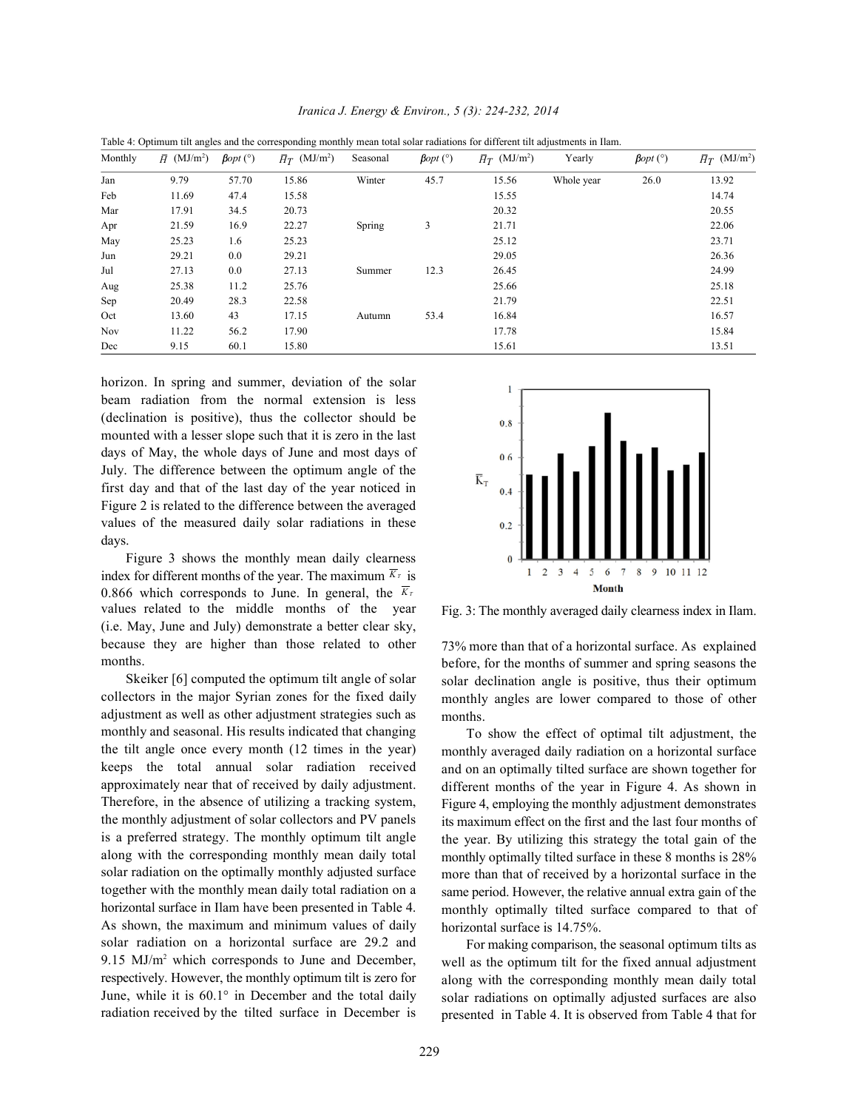| Table 4: Optimum tilt angles and the corresponding monthly mean total solar radiations for different tilt adjustments in Ilam. |                                |                 |                                  |          |                 |                                  |            |                 |                                  |
|--------------------------------------------------------------------------------------------------------------------------------|--------------------------------|-----------------|----------------------------------|----------|-----------------|----------------------------------|------------|-----------------|----------------------------------|
| Monthly                                                                                                                        | $\bar{H}$ (MJ/m <sup>2</sup> ) | $\beta opt (°)$ | $\bar{H}_T$ (MJ/m <sup>2</sup> ) | Seasonal | $\beta$ opt (°) | $\bar{H}_T$ (MJ/m <sup>2</sup> ) | Yearly     | $\beta opt (°)$ | $\bar{H}_T$ (MJ/m <sup>2</sup> ) |
| Jan                                                                                                                            | 9.79                           | 57.70           | 15.86                            | Winter   | 45.7            | 15.56                            | Whole year | 26.0            | 13.92                            |
| Feb                                                                                                                            | 11.69                          | 47.4            | 15.58                            |          |                 | 15.55                            |            |                 | 14.74                            |
| Mar                                                                                                                            | 17.91                          | 34.5            | 20.73                            |          |                 | 20.32                            |            |                 | 20.55                            |
| Apr                                                                                                                            | 21.59                          | 16.9            | 22.27                            | Spring   | 3               | 21.71                            |            |                 | 22.06                            |
| May                                                                                                                            | 25.23                          | 1.6             | 25.23                            |          |                 | 25.12                            |            |                 | 23.71                            |
| Jun                                                                                                                            | 29.21                          | 0.0             | 29.21                            |          |                 | 29.05                            |            |                 | 26.36                            |
| Jul                                                                                                                            | 27.13                          | 0.0             | 27.13                            | Summer   | 12.3            | 26.45                            |            |                 | 24.99                            |
| Aug                                                                                                                            | 25.38                          | 11.2            | 25.76                            |          |                 | 25.66                            |            |                 | 25.18                            |
| Sep                                                                                                                            | 20.49                          | 28.3            | 22.58                            |          |                 | 21.79                            |            |                 | 22.51                            |
| Oct                                                                                                                            | 13.60                          | 43              | 17.15                            | Autumn   | 53.4            | 16.84                            |            |                 | 16.57                            |
| Nov                                                                                                                            | 11.22                          | 56.2            | 17.90                            |          |                 | 17.78                            |            |                 | 15.84                            |
| Dec                                                                                                                            | 9.15                           | 60.1            | 15.80                            |          |                 | 15.61                            |            |                 | 13.51                            |

*Iranica J. Energy & Environ., 5 (3): 224-232, 2014*

horizon. In spring and summer, deviation of the solar beam radiation from the normal extension is less (declination is positive), thus the collector should be mounted with a lesser slope such that it is zero in the last days of May, the whole days of June and most days of July. The difference between the optimum angle of the first day and that of the last day of the year noticed in Figure 2 is related to the difference between the averaged values of the measured daily solar radiations in these days.

index for different months of the year. The maximum  $K<sub>T</sub>$  is 0.866 which corresponds to June. In general, the  $K_t$ Figure 3 shows the monthly mean daily clearness values related to the middle months of the year (i.e. May, June and July) demonstrate a better clear sky, because they are higher than those related to other months.

Skeiker [6] computed the optimum tilt angle of solar collectors in the major Syrian zones for the fixed daily adjustment as well as other adjustment strategies such as monthly and seasonal. His results indicated that changing the tilt angle once every month (12 times in the year) keeps the total annual solar radiation received approximately near that of received by daily adjustment. Therefore, in the absence of utilizing a tracking system, the monthly adjustment of solar collectors and PV panels is a preferred strategy. The monthly optimum tilt angle along with the corresponding monthly mean daily total solar radiation on the optimally monthly adjusted surface together with the monthly mean daily total radiation on a horizontal surface in Ilam have been presented in Table 4. As shown, the maximum and minimum values of daily solar radiation on a horizontal surface are 29.2 and 9.15  $MJ/m<sup>2</sup>$  which corresponds to June and December, respectively. However, the monthly optimum tilt is zero for June, while it is 60.1° in December and the total daily radiation received by the tilted surface in December is



Fig. 3: The monthly averaged daily clearness index in Ilam.

73% more than that of a horizontal surface. As explained before, for the months of summer and spring seasons the solar declination angle is positive, thus their optimum monthly angles are lower compared to those of other months.

To show the effect of optimal tilt adjustment, the monthly averaged daily radiation on a horizontal surface and on an optimally tilted surface are shown together for different months of the year in Figure 4. As shown in Figure 4, employing the monthly adjustment demonstrates its maximum effect on the first and the last four months of the year. By utilizing this strategy the total gain of the monthly optimally tilted surface in these 8 months is 28% more than that of received by a horizontal surface in the same period. However, the relative annual extra gain of the monthly optimally tilted surface compared to that of horizontal surface is 14.75%.

For making comparison, the seasonal optimum tilts as well as the optimum tilt for the fixed annual adjustment along with the corresponding monthly mean daily total solar radiations on optimally adjusted surfaces are also presented in Table 4. It is observed from Table 4 that for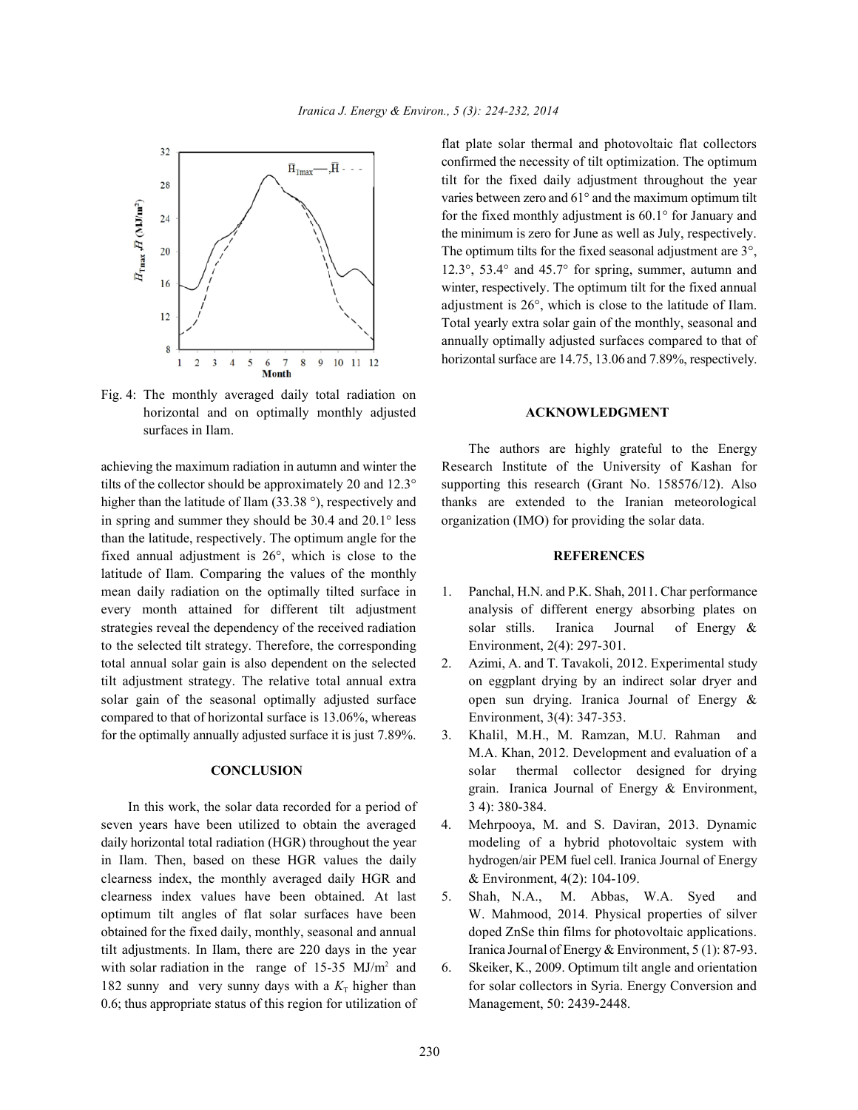

Fig. 4: The monthly averaged daily total radiation on horizontal and on optimally monthly adjusted **ACKNOWLEDGMENT** surfaces in Ilam.

tilts of the collector should be approximately 20 and 12.3° supporting this research (Grant No. 158576/12). Also higher than the latitude of Ilam (33.38 °), respectively and thanks are extended to the Iranian meteorological in spring and summer they should be 30.4 and 20.1° less organization (IMO) for providing the solar data. than the latitude, respectively. The optimum angle for the fixed annual adjustment is 26°, which is close to the **REFERENCES** latitude of Ilam. Comparing the values of the monthly mean daily radiation on the optimally tilted surface in 1. Panchal, H.N. and P.K. Shah, 2011. Char performance every month attained for different tilt adjustment analysis of different energy absorbing plates on strategies reveal the dependency of the received radiation solar stills. Iranica Journal of Energy & total annual solar gain is also dependent on the selected 2. Azimi, A. and T. Tavakoli, 2012. Experimental study tilt adjustment strategy. The relative total annual extra on eggplant drying by an indirect solar dryer and solar gain of the seasonal optimally adjusted surface open sun drying. Iranica Journal of Energy & compared to that of horizontal surface is 13.06%, whereas Environment, 3(4): 347-353. for the optimally annually adjusted surface it is just 7.89%. 3. Khalil, M.H., M. Ramzan, M.U. Rahman and to the selected tilt strategy. Therefore, the corresponding Environment, 2(4): 297-301.

In this work, the solar data recorded for a period of 34): 380-384. seven years have been utilized to obtain the averaged 4. Mehrpooya, M. and S. Daviran, 2013. Dynamic daily horizontal total radiation (HGR) throughout the year modeling of a hybrid photovoltaic system with in Ilam. Then, based on these HGR values the daily hydrogen/air PEM fuel cell. Iranica Journal of Energy clearness index, the monthly averaged daily HGR and & Environment, 4(2): 104-109. clearness index values have been obtained. At last 5. Shah, N.A., M. Abbas, W.A. Syed and with solar radiation in the range of 15-35  $MJ/m<sup>2</sup>$  and 6. Skeiker, K., 2009. Optimum tilt angle and orientation 0.6; thus appropriate status of this region for utilization of Management, 50: 2439-2448.

flat plate solar thermal and photovoltaic flat collectors confirmed the necessity of tilt optimization. The optimum tilt for the fixed daily adjustment throughout the year varies between zero and 61° and the maximum optimum tilt for the fixed monthly adjustment is 60.1° for January and the minimum is zero for June as well as July, respectively. The optimum tilts for the fixed seasonal adjustment are 3°, 12.3°, 53.4° and 45.7° for spring, summer, autumn and winter, respectively. The optimum tilt for the fixed annual adjustment is 26°, which is close to the latitude of Ilam. Total yearly extra solar gain of the monthly, seasonal and annually optimally adjusted surfaces compared to that of horizontal surface are 14.75, 13.06 and 7.89%, respectively.

achieving the maximum radiation in autumn and winter the Research Institute of the University of Kashan for The authors are highly grateful to the Energy

- 
- 
- **CONCLUSION** solar thermal collector designed for drying M.A. Khan, 2012. Development and evaluation of a grain. Iranica Journal of Energy & Environment,
	-
- optimum tilt angles of flat solar surfaces have been W. Mahmood, 2014. Physical properties of silver obtained for the fixed daily, monthly, seasonal and annual doped ZnSe thin films for photovoltaic applications. tilt adjustments. In Ilam, there are 220 days in the year Iranica Journal of Energy  $\&$  Environment, 5 (1): 87-93.
- 182 sunny and very sunny days with a  $K<sub>T</sub>$  higher than for solar collectors in Syria. Energy Conversion and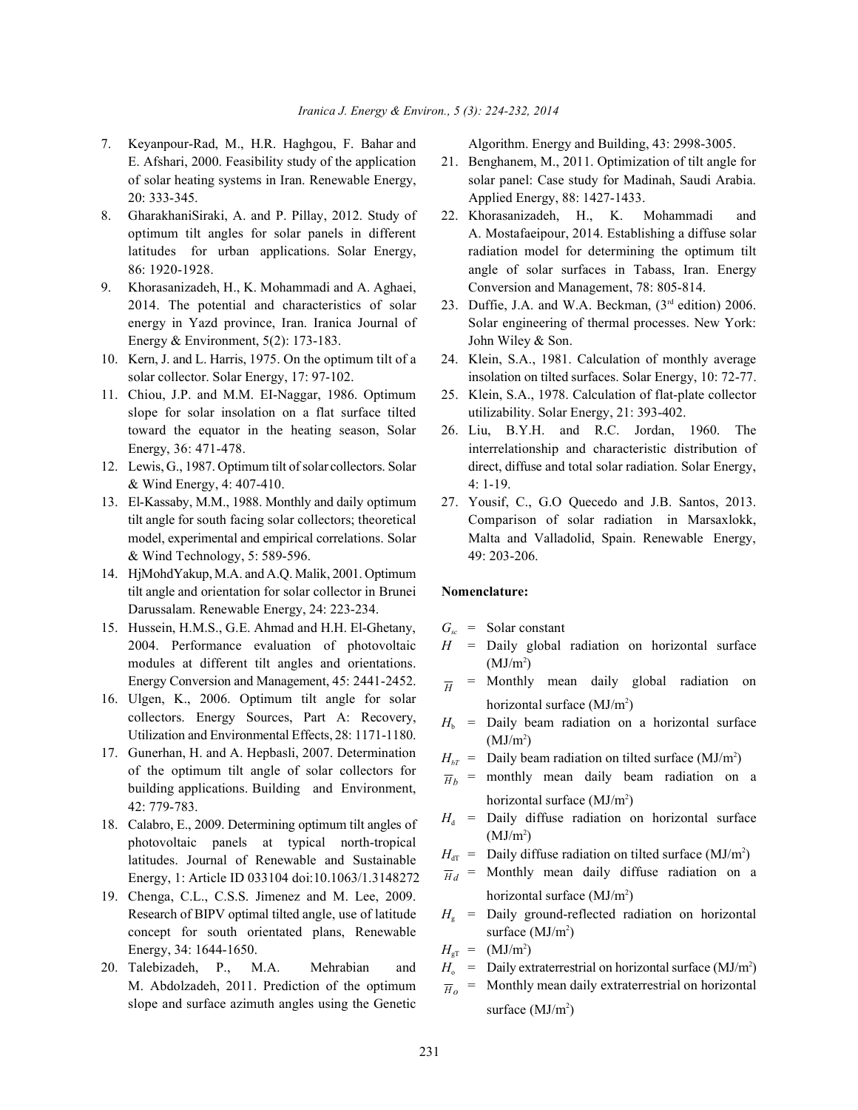- 7. Keyanpour-Rad, M., H.R. Haghgou, F. Bahar and Algorithm. Energy and Building, 43: 2998-3005. E. Afshari, 2000. Feasibility study of the application 21. Benghanem, M., 2011. Optimization of tilt angle for 20: 333-345. Applied Energy, 88: 1427-1433.
- 8. GharakhaniSiraki, A. and P. Pillay, 2012. Study of 22. Khorasanizadeh, H., K. Mohammadi and
- 9. Khorasanizadeh, H., K. Mohammadi and A. Aghaei, Conversion and Management, 78: 805-814. 2014. The potential and characteristics of solar 23. Duffie, J.A. and W.A. Beckman,  $(3<sup>rd</sup>$  edition) 2006. Energy  $& Environment, 5(2): 173-183.$  John Wiley  $& Son.$
- 10. Kern, J. and L. Harris, 1975. On the optimum tilt of a 24. Klein, S.A., 1981. Calculation of monthly average
- 11. Chiou, J.P. and M.M. EI-Naggar, 1986. Optimum 25. Klein, S.A., 1978. Calculation of flat-plate collector slope for solar insolation on a flat surface tilted utilizability. Solar Energy, 21: 393-402. toward the equator in the heating season, Solar 26. Liu, B.Y.H. and R.C. Jordan, 1960. The
- & Wind Energy, 4: 407-410. 4: 1-19.
- 13. El-Kassaby, M.M., 1988. Monthly and daily optimum 27. Yousif, C., G.O Quecedo and J.B. Santos, 2013. & Wind Technology, 5: 589-596. 49: 203-206.
- 14. HjMohdYakup, M.A. and A.Q. Malik, 2001. Optimum tilt angle and orientation for solar collector in Brunei **Nomenclature:** Darussalam. Renewable Energy, 24: 223-234.
- 15. Hussein, H.M.S., G.E. Ahmad and H.H. El-Ghetany, modules at different tilt angles and orientations.
- 16. Ulgen, K., 2006. Optimum tilt angle for solar collectors. Energy Sources, Part A: Recovery, Utilization and Environmental Effects, 28: 1171-1180.
- 17. Gunerhan, H. and A. Hepbasli, 2007. Determination of the optimum tilt angle of solar collectors for building applications. Building and Environment, 42: 779-783.
- 18. Calabro, E., 2009. Determining optimum tilt angles of photovoltaic panels at typical north-tropical latitudes. Journal of Renewable and Sustainable Energy, 1: Article ID 033104 doi:10.1063/1.3148272
- 19. Chenga, C.L., C.S.S. Jimenez and M. Lee, 2009. Research of BIPV optimal tilted angle, use of latitude concept for south orientated plans, Renewable Energy, 34: 1644-1650.
- 20. Talebizadeh, P., M.A. Mehrabian and M. Abdolzadeh, 2011. Prediction of the optimum slope and surface azimuth angles using the Genetic

- of solar heating systems in Iran. Renewable Energy, solar panel: Case study for Madinah, Saudi Arabia.
- optimum tilt angles for solar panels in different A. Mostafaeipour, 2014. Establishing a diffuse solar latitudes for urban applications. Solar Energy, andiation model for determining the optimum tilt 86: 1920-1928. angle of solar surfaces in Tabass, Iran. Energy
- energy in Yazd province, Iran. Iranica Journal of Solar engineering of thermal processes. New York:
- solar collector. Solar Energy, 17: 97-102. insolation on tilted surfaces. Solar Energy, 10: 72-77.
	-
- Energy, 36: 471-478. interrelationship and characteristic distribution of 12. Lewis, G., 1987. Optimum tilt of solar collectors. Solar direct, diffuse and total solar radiation. Solar Energy,
	- tilt angle for south facing solar collectors; theoretical Comparison of solar radiation in Marsaxlokk, model, experimental and empirical correlations. Solar Malta and Valladolid, Spain. Renewable Energy,

- $G_{sc}$  = Solar constant
- 2004. Performance evaluation of photovoltaic *H* = Daily global radiation on horizontal surface  $(MJ/m<sup>2</sup>)$
- Energy Conversion and Management, 45: 2441-2452.  $\frac{1}{H}$  = Monthly mean daily global radiation on horizontal surface  $(MJ/m<sup>2</sup>)$ 
	- $H<sub>b</sub>$  = Daily beam radiation on a horizontal surface  $(MJ/m<sup>2</sup>)$

 $H_{bT}$  = Daily beam radiation on tilted surface (MJ/m<sup>2</sup>)

- $\overline{H}_b$  = monthly mean daily beam radiation on a horizontal surface  $(MJ/m<sup>2</sup>)$
- $H_d$  = Daily diffuse radiation on horizontal surface  $(MJ/m<sup>2</sup>)$
- $H_{\text{dT}}$  = Daily diffuse radiation on tilted surface (MJ/m<sup>2</sup>)
- $\overline{H}_d$  = Monthly mean daily diffuse radiation on a horizontal surface  $(MJ/m<sup>2</sup>)$
- $H_{\rm g}$  = Daily ground-reflected radiation on horizontal surface  $(MJ/m<sup>2</sup>)$

 $H_{\text{gr}}$  =  $\text{(MJ/m}^2\text{)}$ 

- $H_0$  = Daily extraterrestrial on horizontal surface (MJ/m<sup>2</sup>)
- $\overline{H}_o$  = Monthly mean daily extraterrestrial on horizontal surface  $(MJ/m<sup>2</sup>)$